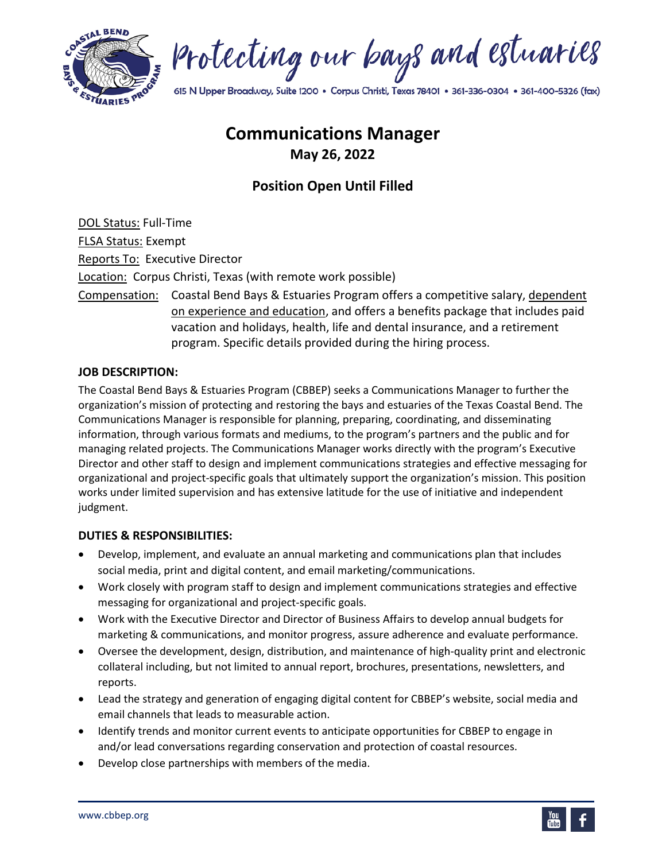

Protecting our bays and estuaries

615 N Upper Broadway, Suite 1200 · Corpus Christi, Texas 78401 · 361-336-0304 · 361-400-5326 (fax)

# **Communications Manager May 26, 2022**

# **Position Open Until Filled**

DOL Status: Full-Time FLSA Status: Exempt Reports To: Executive Director Location: Corpus Christi, Texas (with remote work possible) Compensation: Coastal Bend Bays & Estuaries Program offers a competitive salary, dependent on experience and education, and offers a benefits package that includes paid vacation and holidays, health, life and dental insurance, and a retirement program. Specific details provided during the hiring process.

#### **JOB DESCRIPTION:**

The Coastal Bend Bays & Estuaries Program (CBBEP) seeks a Communications Manager to further the organization's mission of protecting and restoring the bays and estuaries of the Texas Coastal Bend. The Communications Manager is responsible for planning, preparing, coordinating, and disseminating information, through various formats and mediums, to the program's partners and the public and for managing related projects. The Communications Manager works directly with the program's Executive Director and other staff to design and implement communications strategies and effective messaging for organizational and project-specific goals that ultimately support the organization's mission. This position works under limited supervision and has extensive latitude for the use of initiative and independent judgment.

#### **DUTIES & RESPONSIBILITIES:**

- Develop, implement, and evaluate an annual marketing and communications plan that includes social media, print and digital content, and email marketing/communications.
- Work closely with program staff to design and implement communications strategies and effective messaging for organizational and project-specific goals.
- Work with the Executive Director and Director of Business Affairs to develop annual budgets for marketing & communications, and monitor progress, assure adherence and evaluate performance.
- Oversee the development, design, distribution, and maintenance of high-quality print and electronic collateral including, but not limited to annual report, brochures, presentations, newsletters, and reports.
- Lead the strategy and generation of engaging digital content for CBBEP's website, social media and email channels that leads to measurable action.
- Identify trends and monitor current events to anticipate opportunities for CBBEP to engage in and/or lead conversations regarding conservation and protection of coastal resources.
- Develop close partnerships with members of the media.

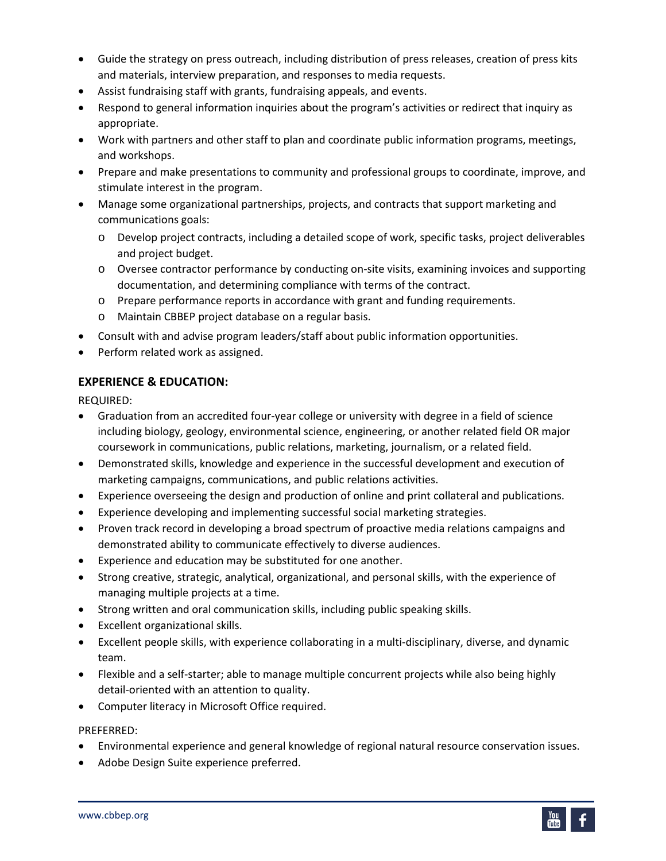- Guide the strategy on press outreach, including distribution of press releases, creation of press kits and materials, interview preparation, and responses to media requests.
- Assist fundraising staff with grants, fundraising appeals, and events.
- Respond to general information inquiries about the program's activities or redirect that inquiry as appropriate.
- Work with partners and other staff to plan and coordinate public information programs, meetings, and workshops.
- Prepare and make presentations to community and professional groups to coordinate, improve, and stimulate interest in the program.
- Manage some organizational partnerships, projects, and contracts that support marketing and communications goals:
	- o Develop project contracts, including a detailed scope of work, specific tasks, project deliverables and project budget.
	- o Oversee contractor performance by conducting on-site visits, examining invoices and supporting documentation, and determining compliance with terms of the contract.
	- o Prepare performance reports in accordance with grant and funding requirements.
	- o Maintain CBBEP project database on a regular basis.
- Consult with and advise program leaders/staff about public information opportunities.
- Perform related work as assigned.

# **EXPERIENCE & EDUCATION:**

REQUIRED:

- Graduation from an accredited four-year college or university with degree in a field of science including biology, geology, environmental science, engineering, or another related field OR major coursework in communications, public relations, marketing, journalism, or a related field.
- Demonstrated skills, knowledge and experience in the successful development and execution of marketing campaigns, communications, and public relations activities.
- Experience overseeing the design and production of online and print collateral and publications.
- Experience developing and implementing successful social marketing strategies.
- Proven track record in developing a broad spectrum of proactive media relations campaigns and demonstrated ability to communicate effectively to diverse audiences.
- Experience and education may be substituted for one another.
- Strong creative, strategic, analytical, organizational, and personal skills, with the experience of managing multiple projects at a time.
- Strong written and oral communication skills, including public speaking skills.
- Excellent organizational skills.
- Excellent people skills, with experience collaborating in a multi-disciplinary, diverse, and dynamic team.
- Flexible and a self-starter; able to manage multiple concurrent projects while also being highly detail-oriented with an attention to quality.
- Computer literacy in Microsoft Office required.

#### PREFERRED:

- Environmental experience and general knowledge of regional natural resource conservation issues.
- Adobe Design Suite experience preferred.